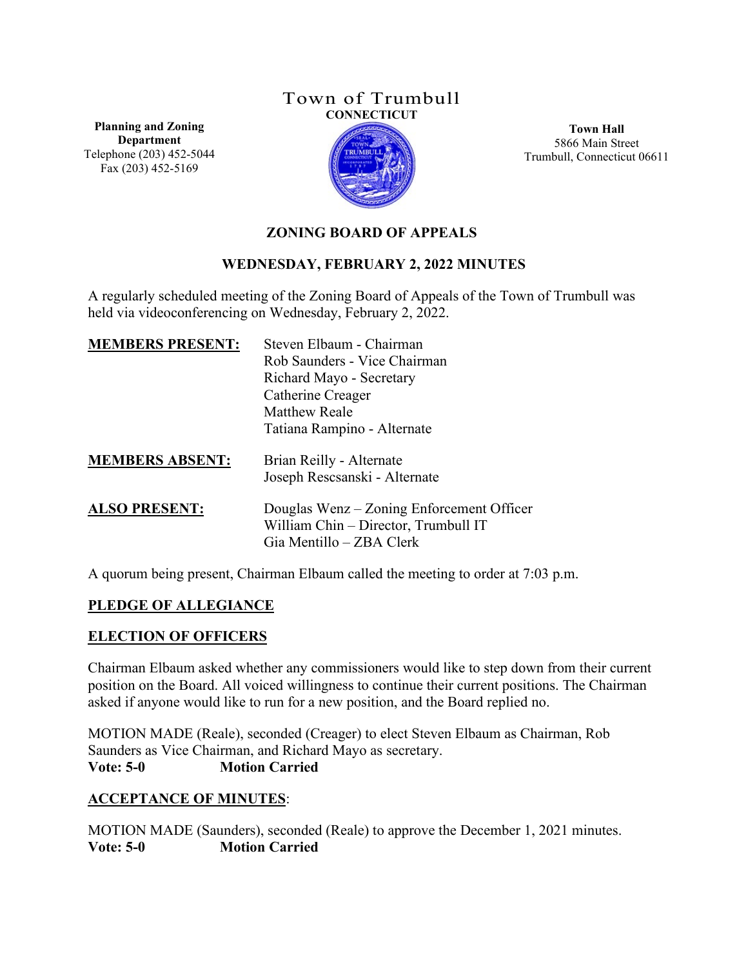## Town of Trumbull **CONNECTICUT**

**Planning and Zoning Department** Telephone (203) 452-5044 Fax (203) 452-5169



**Town Hall** 5866 Main Street Trumbull, Connecticut 06611

# **ZONING BOARD OF APPEALS**

## **WEDNESDAY, FEBRUARY 2, 2022 MINUTES**

A regularly scheduled meeting of the Zoning Board of Appeals of the Town of Trumbull was held via videoconferencing on Wednesday, February 2, 2022.

| <b>MEMBERS PRESENT:</b> | Steven Elbaum - Chairman<br>Rob Saunders - Vice Chairman<br>Richard Mayo - Secretary<br>Catherine Creager<br><b>Matthew Reale</b><br>Tatiana Rampino - Alternate |
|-------------------------|------------------------------------------------------------------------------------------------------------------------------------------------------------------|
| <b>MEMBERS ABSENT:</b>  | Brian Reilly - Alternate<br>Joseph Rescsanski - Alternate                                                                                                        |
| <b>ALSO PRESENT:</b>    | Douglas Wenz – Zoning Enforcement Officer<br>William Chin - Director, Trumbull IT<br>Gia Mentillo – ZBA Clerk                                                    |

A quorum being present, Chairman Elbaum called the meeting to order at 7:03 p.m.

## **PLEDGE OF ALLEGIANCE**

# **ELECTION OF OFFICERS**

Chairman Elbaum asked whether any commissioners would like to step down from their current position on the Board. All voiced willingness to continue their current positions. The Chairman asked if anyone would like to run for a new position, and the Board replied no.

MOTION MADE (Reale), seconded (Creager) to elect Steven Elbaum as Chairman, Rob Saunders as Vice Chairman, and Richard Mayo as secretary. **Vote: 5-0 Motion Carried**

## **ACCEPTANCE OF MINUTES**:

MOTION MADE (Saunders), seconded (Reale) to approve the December 1, 2021 minutes. **Vote: 5-0 Motion Carried**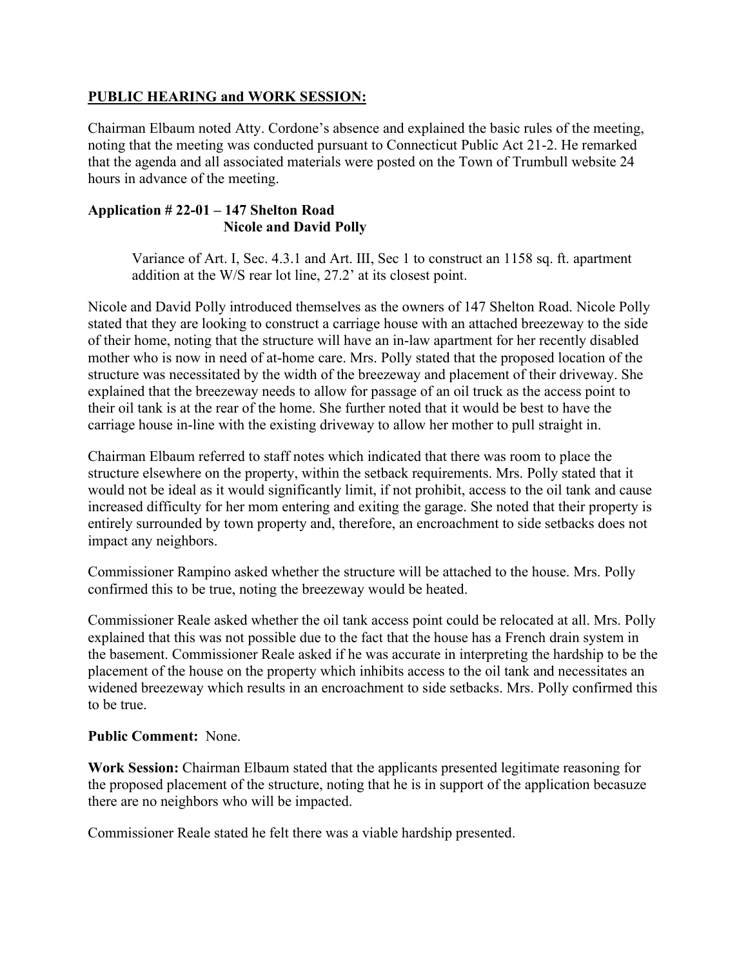#### **PUBLIC HEARING and WORK SESSION:**

Chairman Elbaum noted Atty. Cordone's absence and explained the basic rules of the meeting, noting that the meeting was conducted pursuant to Connecticut Public Act 21-2. He remarked that the agenda and all associated materials were posted on the Town of Trumbull website 24 hours in advance of the meeting.

#### **Application # 22-01 – 147 Shelton Road Nicole and David Polly**

Variance of Art. Ⅰ, Sec. 4.3.1 and Art. Ⅲ, Sec 1 to construct an 1158 sq. ft. apartment addition at the W/S rear lot line, 27.2' at its closest point.

Nicole and David Polly introduced themselves as the owners of 147 Shelton Road. Nicole Polly stated that they are looking to construct a carriage house with an attached breezeway to the side of their home, noting that the structure will have an in-law apartment for her recently disabled mother who is now in need of at-home care. Mrs. Polly stated that the proposed location of the structure was necessitated by the width of the breezeway and placement of their driveway. She explained that the breezeway needs to allow for passage of an oil truck as the access point to their oil tank is at the rear of the home. She further noted that it would be best to have the carriage house in-line with the existing driveway to allow her mother to pull straight in.

Chairman Elbaum referred to staff notes which indicated that there was room to place the structure elsewhere on the property, within the setback requirements. Mrs. Polly stated that it would not be ideal as it would significantly limit, if not prohibit, access to the oil tank and cause increased difficulty for her mom entering and exiting the garage. She noted that their property is entirely surrounded by town property and, therefore, an encroachment to side setbacks does not impact any neighbors.

Commissioner Rampino asked whether the structure will be attached to the house. Mrs. Polly confirmed this to be true, noting the breezeway would be heated.

Commissioner Reale asked whether the oil tank access point could be relocated at all. Mrs. Polly explained that this was not possible due to the fact that the house has a French drain system in the basement. Commissioner Reale asked if he was accurate in interpreting the hardship to be the placement of the house on the property which inhibits access to the oil tank and necessitates an widened breezeway which results in an encroachment to side setbacks. Mrs. Polly confirmed this to be true.

#### **Public Comment:** None.

**Work Session:** Chairman Elbaum stated that the applicants presented legitimate reasoning for the proposed placement of the structure, noting that he is in support of the application becasuze there are no neighbors who will be impacted.

Commissioner Reale stated he felt there was a viable hardship presented.